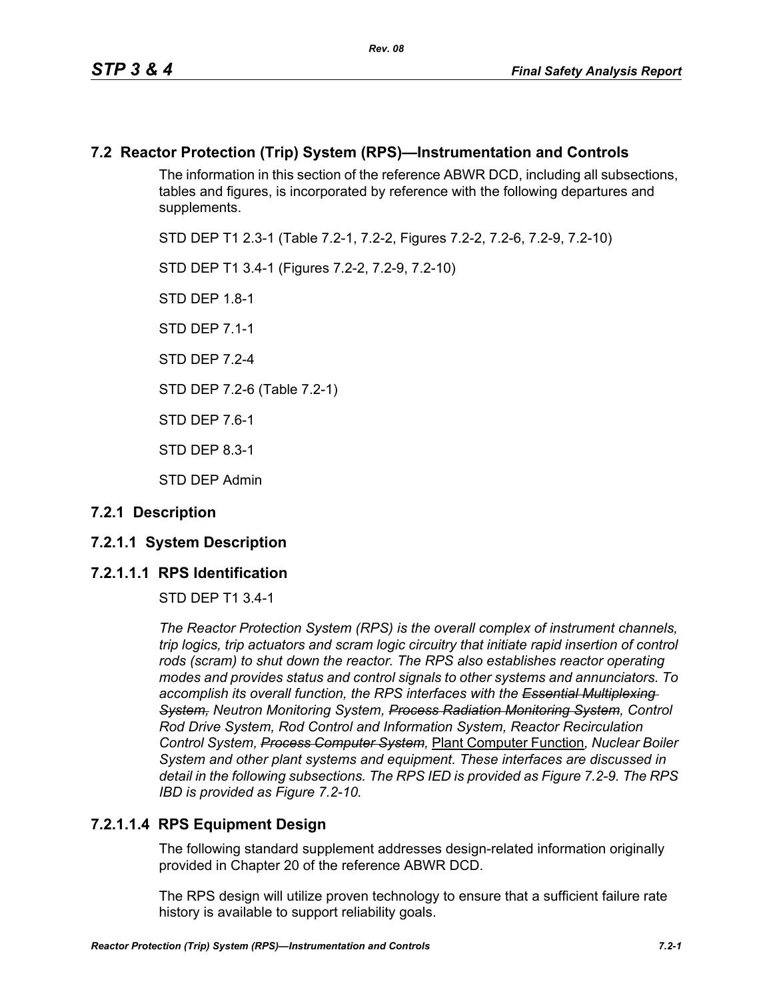## **7.2 Reactor Protection (Trip) System (RPS)—Instrumentation and Controls**

The information in this section of the reference ABWR DCD, including all subsections, tables and figures, is incorporated by reference with the following departures and supplements.

STD DEP T1 2.3-1 (Table 7.2-1, 7.2-2, Figures 7.2-2, 7.2-6, 7.2-9, 7.2-10)

STD DEP T1 3.4-1 (Figures 7.2-2, 7.2-9, 7.2-10)

STD DEP 1.8-1

STD DEP 7.1-1

STD DFP 7 2-4

STD DEP 7.2-6 (Table 7.2-1)

STD DEP 7.6-1

STD DEP 8.3-1

STD DEP Admin

### **7.2.1 Description**

### **7.2.1.1 System Description**

### **7.2.1.1.1 RPS Identification**

STD DEP T1 3.4-1

*The Reactor Protection System (RPS) is the overall complex of instrument channels, trip logics, trip actuators and scram logic circuitry that initiate rapid insertion of control*  rods (scram) to shut down the reactor. The RPS also establishes reactor operating *modes and provides status and control signals to other systems and annunciators. To accomplish its overall function, the RPS interfaces with the Essential Multiplexing System, Neutron Monitoring System, Process Radiation Monitoring System, Control Rod Drive System, Rod Control and Information System, Reactor Recirculation Control System, Process Computer System,* Plant Computer Function*, Nuclear Boiler System and other plant systems and equipment. These interfaces are discussed in detail in the following subsections. The RPS IED is provided as Figure 7.2-9. The RPS IBD is provided as Figure 7.2-10.*

### **7.2.1.1.4 RPS Equipment Design**

The following standard supplement addresses design-related information originally provided in Chapter 20 of the reference ABWR DCD.

The RPS design will utilize proven technology to ensure that a sufficient failure rate history is available to support reliability goals.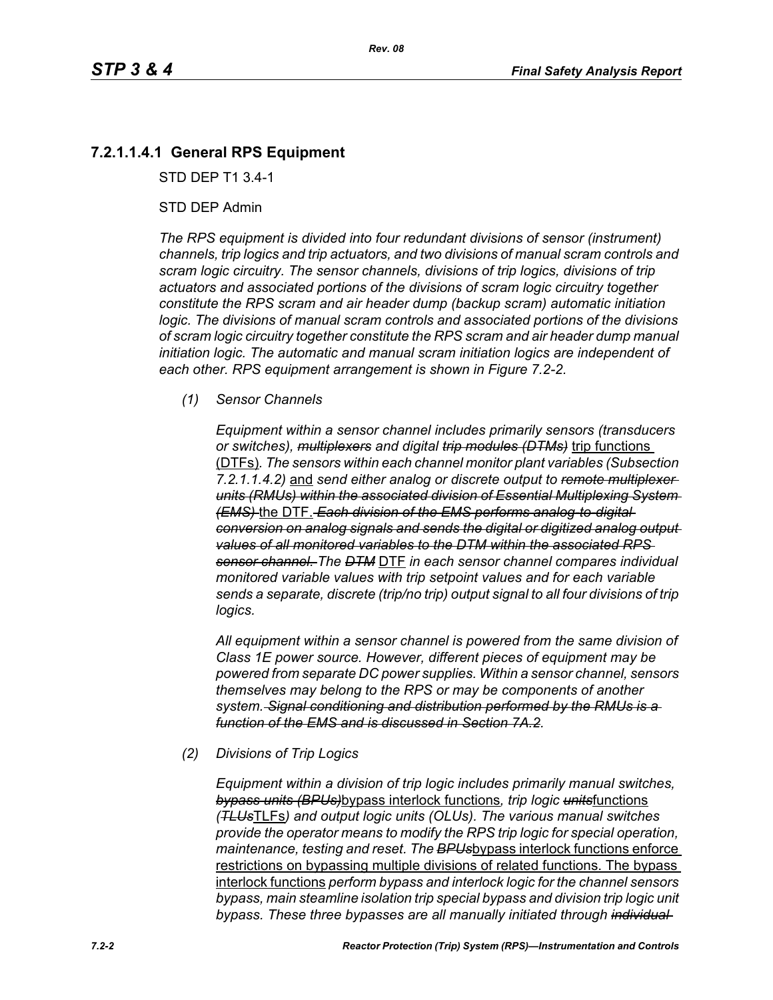# **7.2.1.1.4.1 General RPS Equipment**

STD DEP T1 3.4-1

#### STD DEP Admin

*The RPS equipment is divided into four redundant divisions of sensor (instrument) channels, trip logics and trip actuators, and two divisions of manual scram controls and scram logic circuitry. The sensor channels, divisions of trip logics, divisions of trip actuators and associated portions of the divisions of scram logic circuitry together constitute the RPS scram and air header dump (backup scram) automatic initiation logic. The divisions of manual scram controls and associated portions of the divisions of scram logic circuitry together constitute the RPS scram and air header dump manual initiation logic. The automatic and manual scram initiation logics are independent of each other. RPS equipment arrangement is shown in Figure 7.2-2.*

#### *(1) Sensor Channels*

*Equipment within a sensor channel includes primarily sensors (transducers or switches), multiplexers and digital trip modules (DTMs)* trip functions (DTFs)*. The sensors within each channel monitor plant variables (Subsection 7.2.1.1.4.2)* and *send either analog or discrete output to remote multiplexer units (RMUs) within the associated division of Essential Multiplexing System (EMS)* the DTF. *Each division of the EMS performs analog-to-digital conversion on analog signals and sends the digital or digitized analog output values of all monitored variables to the DTM within the associated RPS sensor channel. The DTM* DTF *in each sensor channel compares individual monitored variable values with trip setpoint values and for each variable sends a separate, discrete (trip/no trip) output signal to all four divisions of trip logics.*

*All equipment within a sensor channel is powered from the same division of Class 1E power source. However, different pieces of equipment may be powered from separate DC power supplies. Within a sensor channel, sensors themselves may belong to the RPS or may be components of another system. Signal conditioning and distribution performed by the RMUs is a function of the EMS and is discussed in Section 7A.2.*

#### *(2) Divisions of Trip Logics*

*Equipment within a division of trip logic includes primarily manual switches, bypass units (BPUs)*bypass interlock functions*, trip logic units*functions *(TLUs*TLFs*) and output logic units (OLUs). The various manual switches provide the operator means to modify the RPS trip logic for special operation, maintenance, testing and reset. The BPUs*bypass interlock functions enforce restrictions on bypassing multiple divisions of related functions. The bypass interlock functions *perform bypass and interlock logic for the channel sensors bypass, main steamline isolation trip special bypass and division trip logic unit bypass. These three bypasses are all manually initiated through individual*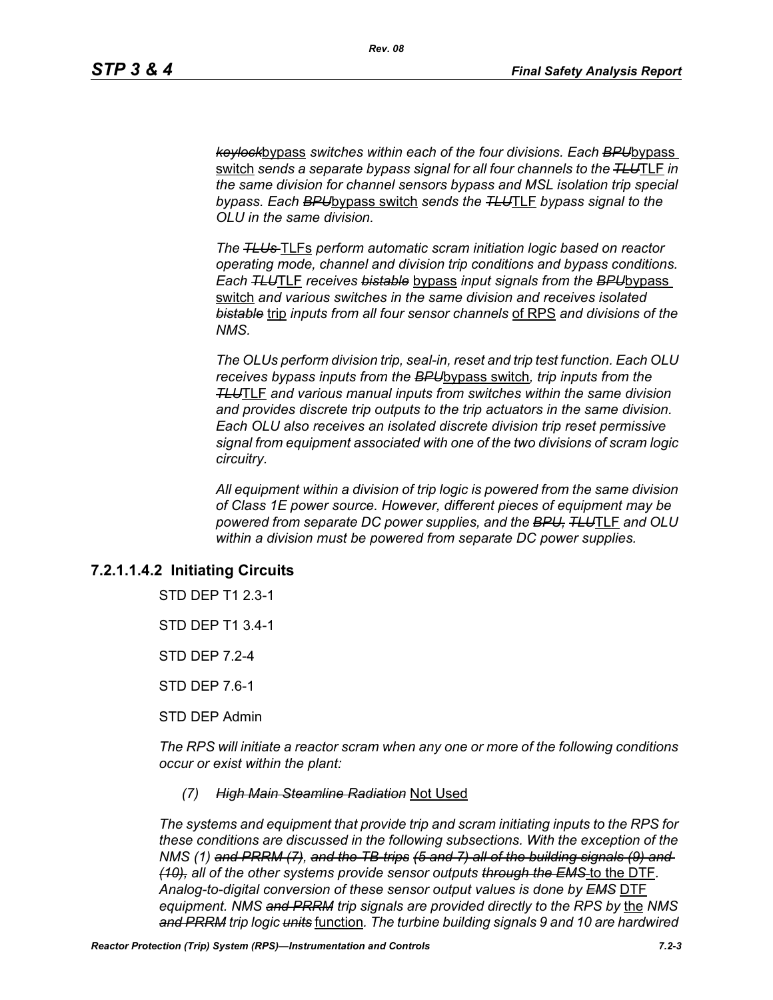*keylock*bypass *switches within each of the four divisions. Each BPU*bypass switch *sends a separate bypass signal for all four channels to the TLU*TLF *in the same division for channel sensors bypass and MSL isolation trip special bypass. Each BPU*bypass switch *sends the TLU*TLF *bypass signal to the OLU in the same division.*

*The TLUs* TLFs *perform automatic scram initiation logic based on reactor operating mode, channel and division trip conditions and bypass conditions. Each TLU*TLF *receives bistable* bypass *input signals from the BPU*bypass switch *and various switches in the same division and receives isolated bistable* trip *inputs from all four sensor channels* of RPS *and divisions of the NMS.*

*The OLUs perform division trip, seal-in, reset and trip test function. Each OLU receives bypass inputs from the BPU*bypass switch*, trip inputs from the TLU*TLF *and various manual inputs from switches within the same division and provides discrete trip outputs to the trip actuators in the same division. Each OLU also receives an isolated discrete division trip reset permissive signal from equipment associated with one of the two divisions of scram logic circuitry.*

*All equipment within a division of trip logic is powered from the same division of Class 1E power source. However, different pieces of equipment may be powered from separate DC power supplies, and the BPU, TLU*TLF *and OLU within a division must be powered from separate DC power supplies.*

### **7.2.1.1.4.2 Initiating Circuits**

STD DEP T1 2.3-1

STD DEP T1 3.4-1

STD DEP 7.2-4

STD DEP 7.6-1

STD DEP Admin

*The RPS will initiate a reactor scram when any one or more of the following conditions occur or exist within the plant:*

#### *(7) High Main Steamline Radiation* Not Used

*The systems and equipment that provide trip and scram initiating inputs to the RPS for these conditions are discussed in the following subsections. With the exception of the NMS (1) and PRRM (7), and the TB-trips (5 and 7) all of the building signals (9) and (10), all of the other systems provide sensor outputs through the EMS* to the DTF*. Analog-to-digital conversion of these sensor output values is done by EMS* DTF *equipment. NMS and PRRM trip signals are provided directly to the RPS by* the *NMS and PRRM trip logic units* function*. The turbine building signals 9 and 10 are hardwired*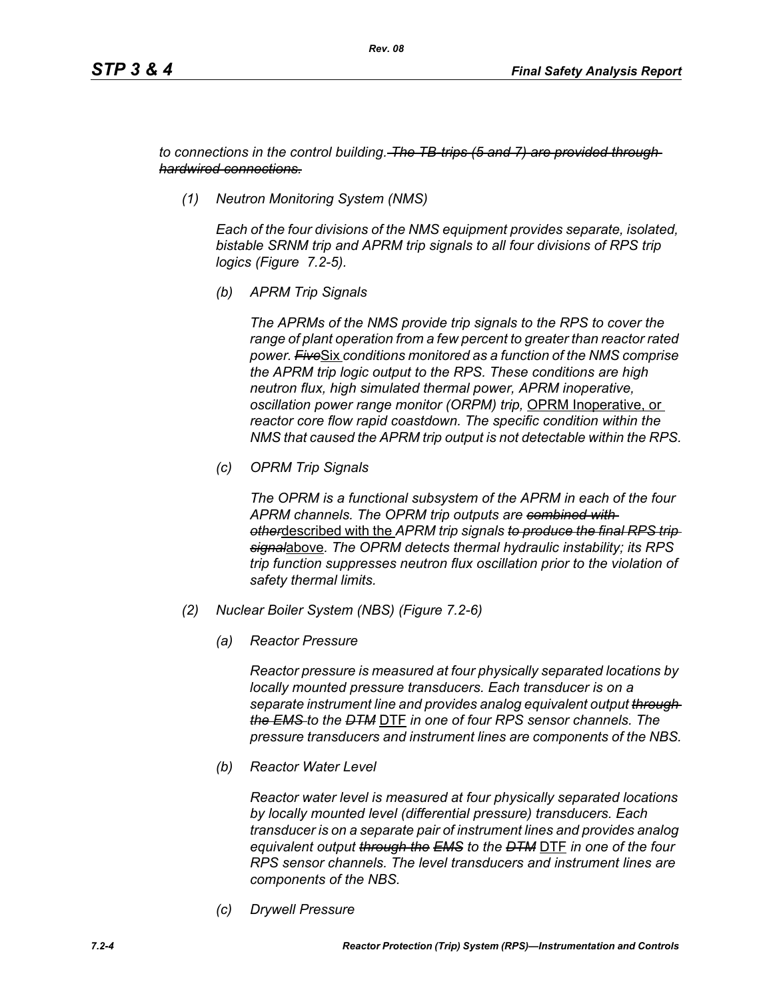*to connections in the control building. The TB-trips (5 and 7) are provided through hardwired connections.*

*(1) Neutron Monitoring System (NMS)*

*Each of the four divisions of the NMS equipment provides separate, isolated, bistable SRNM trip and APRM trip signals to all four divisions of RPS trip logics (Figure 7.2-5).*

*(b) APRM Trip Signals*

*The APRMs of the NMS provide trip signals to the RPS to cover the range of plant operation from a few percent to greater than reactor rated power. Five*Six *conditions monitored as a function of the NMS comprise the APRM trip logic output to the RPS. These conditions are high neutron flux, high simulated thermal power, APRM inoperative, oscillation power range monitor (ORPM) trip,* OPRM Inoperative, or *reactor core flow rapid coastdown. The specific condition within the NMS that caused the APRM trip output is not detectable within the RPS.*

*(c) OPRM Trip Signals*

*The OPRM is a functional subsystem of the APRM in each of the four APRM channels. The OPRM trip outputs are combined with other*described with the *APRM trip signals to produce the final RPS trip signal*above*. The OPRM detects thermal hydraulic instability; its RPS trip function suppresses neutron flux oscillation prior to the violation of safety thermal limits.*

- *(2) Nuclear Boiler System (NBS) (Figure 7.2-6)*
	- *(a) Reactor Pressure*

*Reactor pressure is measured at four physically separated locations by locally mounted pressure transducers. Each transducer is on a separate instrument line and provides analog equivalent output through the EMS to the DTM* DTF *in one of four RPS sensor channels. The pressure transducers and instrument lines are components of the NBS.*

*(b) Reactor Water Level*

*Reactor water level is measured at four physically separated locations by locally mounted level (differential pressure) transducers. Each transducer is on a separate pair of instrument lines and provides analog equivalent output through the EMS to the DTM* DTF *in one of the four RPS sensor channels. The level transducers and instrument lines are components of the NBS.*

*(c) Drywell Pressure*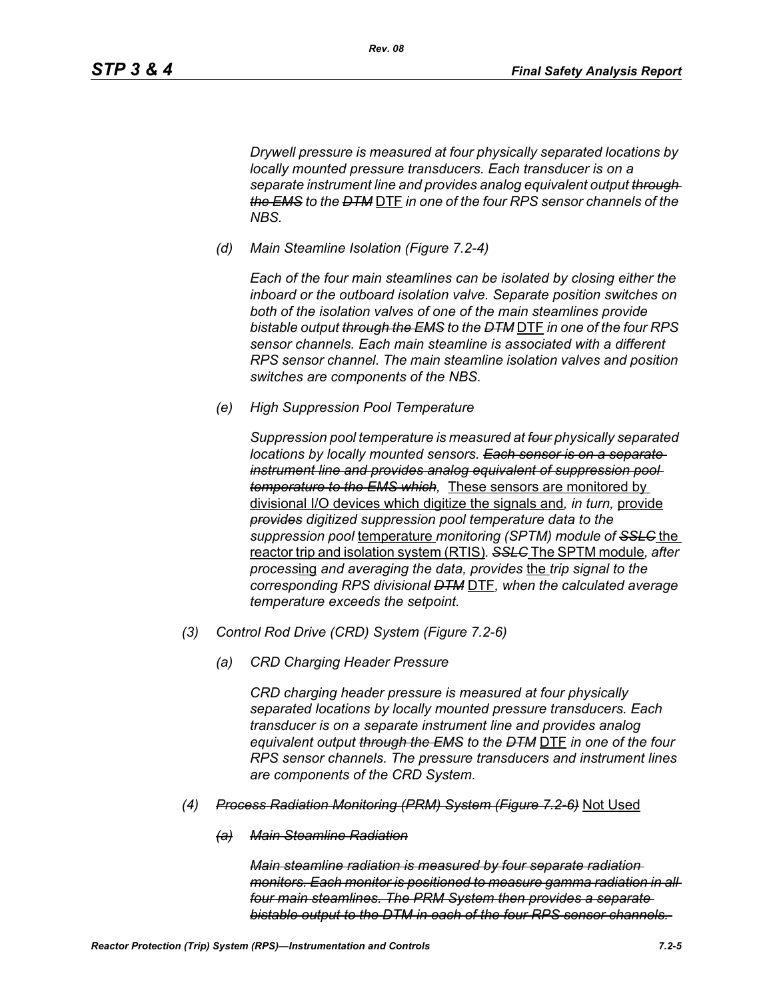*Drywell pressure is measured at four physically separated locations by locally mounted pressure transducers. Each transducer is on a separate instrument line and provides analog equivalent output through the EMS to the DTM* DTF *in one of the four RPS sensor channels of the NBS.*

*(d) Main Steamline Isolation (Figure 7.2-4)*

*Rev. 08*

*Each of the four main steamlines can be isolated by closing either the inboard or the outboard isolation valve. Separate position switches on both of the isolation valves of one of the main steamlines provide bistable output through the EMS to the DTM* DTF *in one of the four RPS sensor channels. Each main steamline is associated with a different RPS sensor channel. The main steamline isolation valves and position switches are components of the NBS.*

*(e) High Suppression Pool Temperature*

*Suppression pool temperature is measured at four physically separated locations by locally mounted sensors. Each sensor is on a separate instrument line and provides analog equivalent of suppression pool temperature to the EMS which,* These sensors are monitored by divisional I/O devices which digitize the signals and*, in turn,* provide *provides digitized suppression pool temperature data to the suppression pool* temperature *monitoring (SPTM) module of SSLC* the reactor trip and isolation system (RTIS)*. SSLC* The SPTM module*, after process*ing *and averaging the data, provides* the *trip signal to the corresponding RPS divisional DTM* DTF*, when the calculated average temperature exceeds the setpoint.*

- *(3) Control Rod Drive (CRD) System (Figure 7.2-6)*
	- *(a) CRD Charging Header Pressure*

*CRD charging header pressure is measured at four physically separated locations by locally mounted pressure transducers. Each transducer is on a separate instrument line and provides analog equivalent output through the EMS to the DTM* DTF *in one of the four RPS sensor channels. The pressure transducers and instrument lines are components of the CRD System.*

- *(4) Process Radiation Monitoring (PRM) System (Figure 7.2-6)* Not Used
	- *(a) Main Steamline Radiation*

*Main steamline radiation is measured by four separate radiation monitors. Each monitor is positioned to measure gamma radiation in all four main steamlines. The PRM System then provides a separate bistable output to the DTM in each of the four RPS sensor channels.*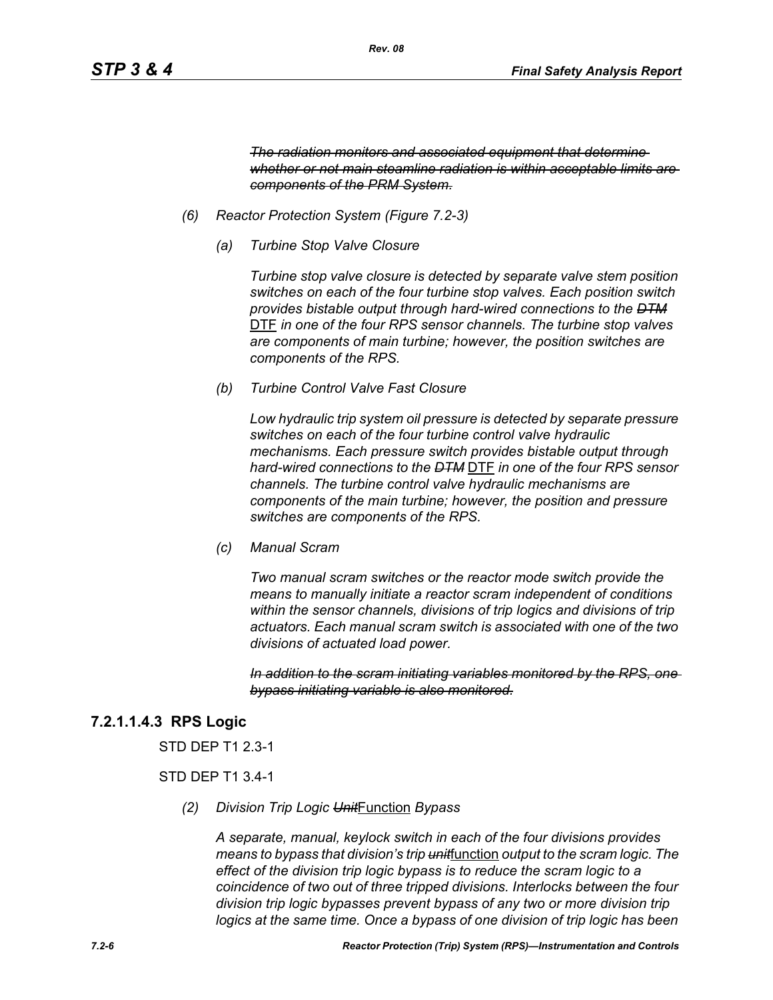*The radiation monitors and associated equipment that determine whether or not main steamline radiation is within acceptable limits are components of the PRM System.*

- *(6) Reactor Protection System (Figure 7.2-3)*
	- *(a) Turbine Stop Valve Closure*

*Turbine stop valve closure is detected by separate valve stem position switches on each of the four turbine stop valves. Each position switch provides bistable output through hard-wired connections to the DTM* DTF *in one of the four RPS sensor channels. The turbine stop valves are components of main turbine; however, the position switches are components of the RPS.*

*(b) Turbine Control Valve Fast Closure*

*Low hydraulic trip system oil pressure is detected by separate pressure switches on each of the four turbine control valve hydraulic mechanisms. Each pressure switch provides bistable output through hard-wired connections to the DTM* DTF *in one of the four RPS sensor channels. The turbine control valve hydraulic mechanisms are components of the main turbine; however, the position and pressure switches are components of the RPS.*

*(c) Manual Scram*

*Two manual scram switches or the reactor mode switch provide the means to manually initiate a reactor scram independent of conditions within the sensor channels, divisions of trip logics and divisions of trip actuators. Each manual scram switch is associated with one of the two divisions of actuated load power.* 

*In addition to the scram initiating variables monitored by the RPS, one bypass initiating variable is also monitored.*

### **7.2.1.1.4.3 RPS Logic**

STD DEP T1 2.3-1

#### STD DEP T1 3.4-1

*(2) Division Trip Logic Unit*Function *Bypass*

*A separate, manual, keylock switch in each of the four divisions provides means to bypass that division's trip unit*function *output to the scram logic. The effect of the division trip logic bypass is to reduce the scram logic to a coincidence of two out of three tripped divisions. Interlocks between the four division trip logic bypasses prevent bypass of any two or more division trip logics at the same time. Once a bypass of one division of trip logic has been*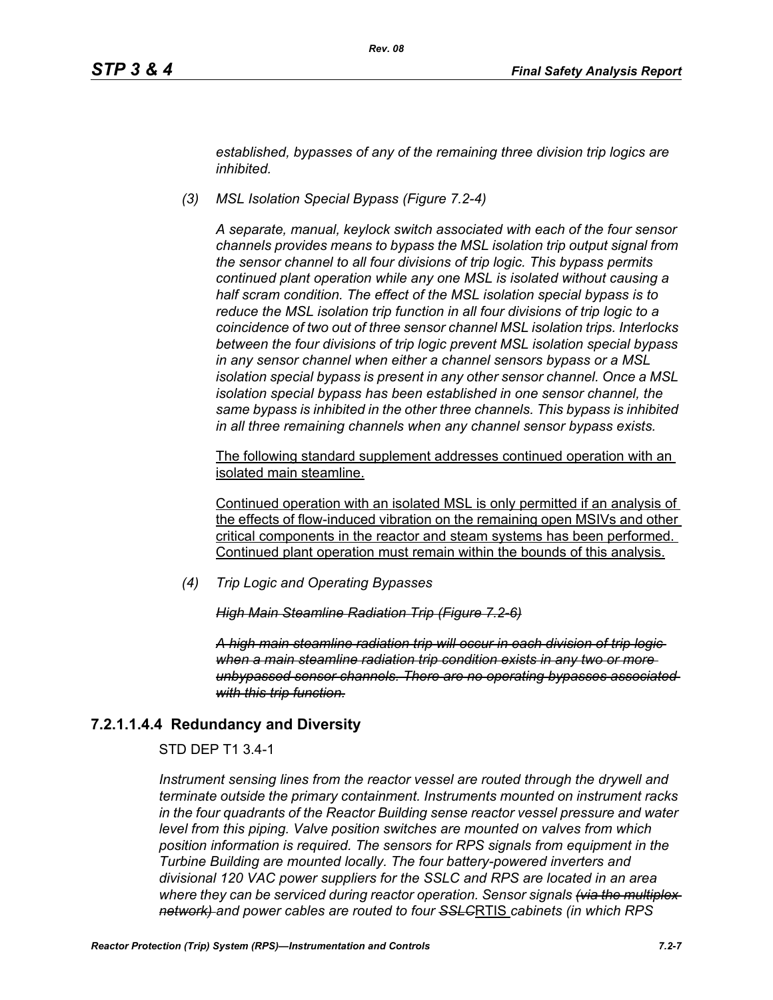*established, bypasses of any of the remaining three division trip logics are inhibited.*

*(3) MSL Isolation Special Bypass (Figure 7.2-4)*

*A separate, manual, keylock switch associated with each of the four sensor channels provides means to bypass the MSL isolation trip output signal from the sensor channel to all four divisions of trip logic. This bypass permits continued plant operation while any one MSL is isolated without causing a half scram condition. The effect of the MSL isolation special bypass is to reduce the MSL isolation trip function in all four divisions of trip logic to a coincidence of two out of three sensor channel MSL isolation trips. Interlocks between the four divisions of trip logic prevent MSL isolation special bypass in any sensor channel when either a channel sensors bypass or a MSL isolation special bypass is present in any other sensor channel. Once a MSL isolation special bypass has been established in one sensor channel, the same bypass is inhibited in the other three channels. This bypass is inhibited in all three remaining channels when any channel sensor bypass exists.*

The following standard supplement addresses continued operation with an isolated main steamline.

Continued operation with an isolated MSL is only permitted if an analysis of the effects of flow-induced vibration on the remaining open MSIVs and other critical components in the reactor and steam systems has been performed. Continued plant operation must remain within the bounds of this analysis.

*(4) Trip Logic and Operating Bypasses*

*High Main Steamline Radiation Trip (Figure 7.2-6)*

*A high main steamline radiation trip will occur in each division of trip logic when a main steamline radiation trip condition exists in any two or more unbypassed sensor channels. There are no operating bypasses associated with this trip function.*

### **7.2.1.1.4.4 Redundancy and Diversity**

STD DEP T1 3.4-1

*Instrument sensing lines from the reactor vessel are routed through the drywell and terminate outside the primary containment. Instruments mounted on instrument racks in the four quadrants of the Reactor Building sense reactor vessel pressure and water level from this piping. Valve position switches are mounted on valves from which position information is required. The sensors for RPS signals from equipment in the Turbine Building are mounted locally. The four battery-powered inverters and divisional 120 VAC power suppliers for the SSLC and RPS are located in an area where they can be serviced during reactor operation. Sensor signals (via the multiplex network) and power cables are routed to four SSLC*RTIS *cabinets (in which RPS*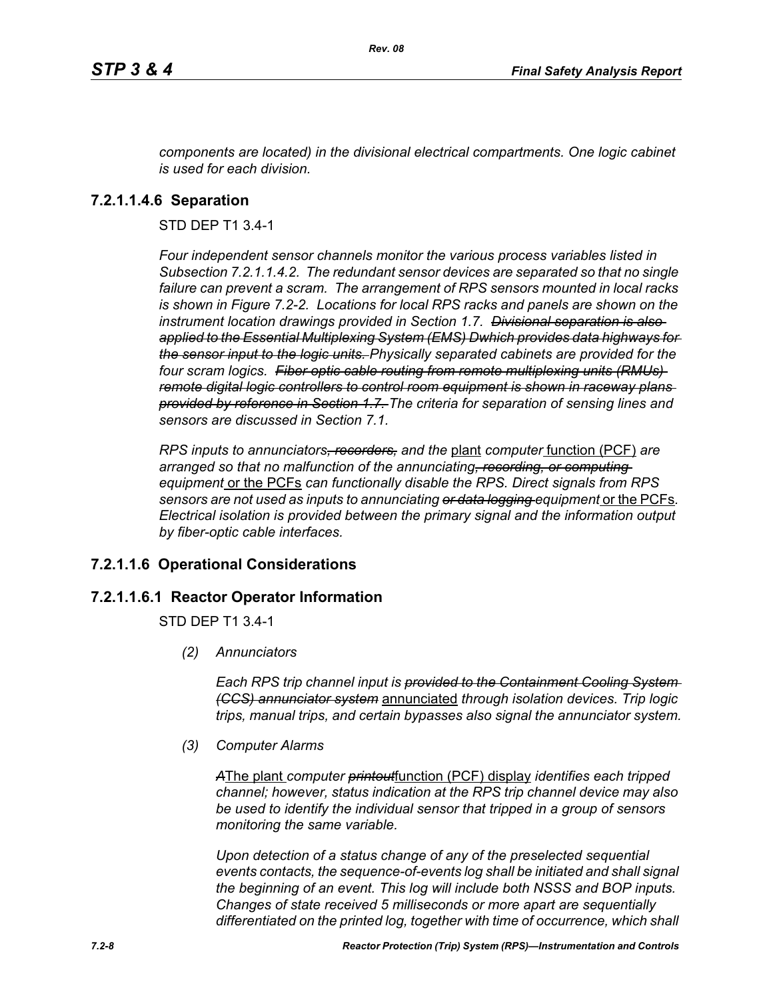*components are located) in the divisional electrical compartments. One logic cabinet is used for each division.*

### **7.2.1.1.4.6 Separation**

STD DEP T1 3.4-1

*Four independent sensor channels monitor the various process variables listed in Subsection 7.2.1.1.4.2. The redundant sensor devices are separated so that no single failure can prevent a scram. The arrangement of RPS sensors mounted in local racks is shown in Figure 7.2-2. Locations for local RPS racks and panels are shown on the instrument location drawings provided in Section 1.7. Divisional separation is also applied to the Essential Multiplexing System (EMS) Dwhich provides data highways for the sensor input to the logic units. Physically separated cabinets are provided for the four scram logics. Fiber optic cable routing from remote multiplexing units (RMUs) remote digital logic controllers to control room equipment is shown in raceway plans provided by reference in Section 1.7. The criteria for separation of sensing lines and sensors are discussed in Section 7.1.*

*RPS inputs to annunciators, recorders, and the* plant *computer* function (PCF) *are arranged so that no malfunction of the annunciating, recording, or computing equipment* or the PCFs *can functionally disable the RPS. Direct signals from RPS sensors are not used as inputs to annunciating or data logging equipment* or the PCFs*. Electrical isolation is provided between the primary signal and the information output by fiber-optic cable interfaces.*

### **7.2.1.1.6 Operational Considerations**

#### **7.2.1.1.6.1 Reactor Operator Information**

STD DEP T1 3.4-1

*(2) Annunciators*

*Each RPS trip channel input is provided to the Containment Cooling System (CCS) annunciator system* annunciated *through isolation devices. Trip logic trips, manual trips, and certain bypasses also signal the annunciator system.*

*(3) Computer Alarms*

*A*The plant *computer printout*function (PCF) display *identifies each tripped channel; however, status indication at the RPS trip channel device may also be used to identify the individual sensor that tripped in a group of sensors monitoring the same variable.* 

*Upon detection of a status change of any of the preselected sequential events contacts, the sequence-of-events log shall be initiated and shall signal the beginning of an event. This log will include both NSSS and BOP inputs. Changes of state received 5 milliseconds or more apart are sequentially differentiated on the printed log, together with time of occurrence, which shall*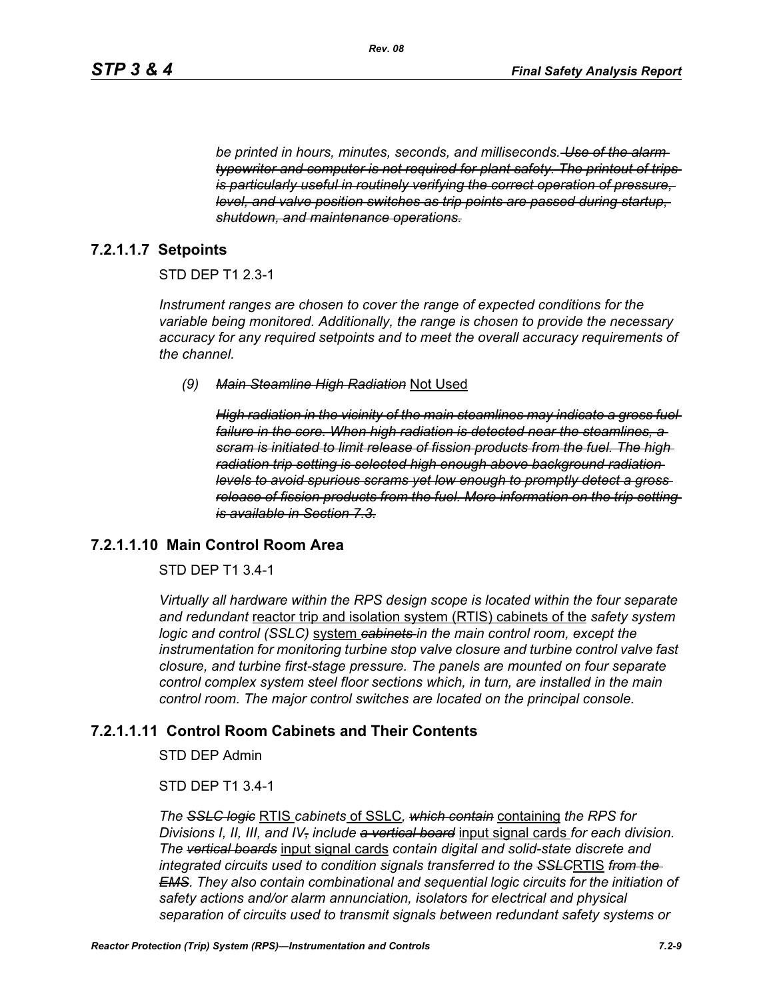*be printed in hours, minutes, seconds, and milliseconds. Use of the alarm typewriter and computer is not required for plant safety. The printout of trips is particularly useful in routinely verifying the correct operation of pressure, level, and valve position switches as trip points are passed during startup, shutdown, and maintenance operations.*

#### **7.2.1.1.7 Setpoints**

#### STD DEP T1 2.3-1

*Instrument ranges are chosen to cover the range of expected conditions for the variable being monitored. Additionally, the range is chosen to provide the necessary accuracy for any required setpoints and to meet the overall accuracy requirements of the channel.*

#### *(9) Main Steamline High Radiation* Not Used

*High radiation in the vicinity of the main steamlines may indicate a gross fuel failure in the core. When high radiation is detected near the steamlines, a scram is initiated to limit release of fission products from the fuel. The high radiation trip setting is selected high enough above background radiation levels to avoid spurious scrams yet low enough to promptly detect a gross release of fission products from the fuel. More information on the trip setting is available in Section 7.3.*

#### **7.2.1.1.10 Main Control Room Area**

#### STD DEP T1 3.4-1

*Virtually all hardware within the RPS design scope is located within the four separate and redundant* reactor trip and isolation system (RTIS) cabinets of the *safety system logic and control (SSLC)* system *cabinets in the main control room, except the instrumentation for monitoring turbine stop valve closure and turbine control valve fast closure, and turbine first-stage pressure. The panels are mounted on four separate control complex system steel floor sections which, in turn, are installed in the main control room. The major control switches are located on the principal console.*

#### **7.2.1.1.11 Control Room Cabinets and Their Contents**

STD DEP Admin

#### STD DEP T1 3.4-1

*The SSLC logic* RTIS *cabinets* of SSLC*, which contain* containing *the RPS for Divisions I, II, III, and IV, include a vertical board* input signal cards *for each division. The vertical boards* input signal cards *contain digital and solid-state discrete and integrated circuits used to condition signals transferred to the SSLC*RTIS *from the EMS. They also contain combinational and sequential logic circuits for the initiation of safety actions and/or alarm annunciation, isolators for electrical and physical separation of circuits used to transmit signals between redundant safety systems or*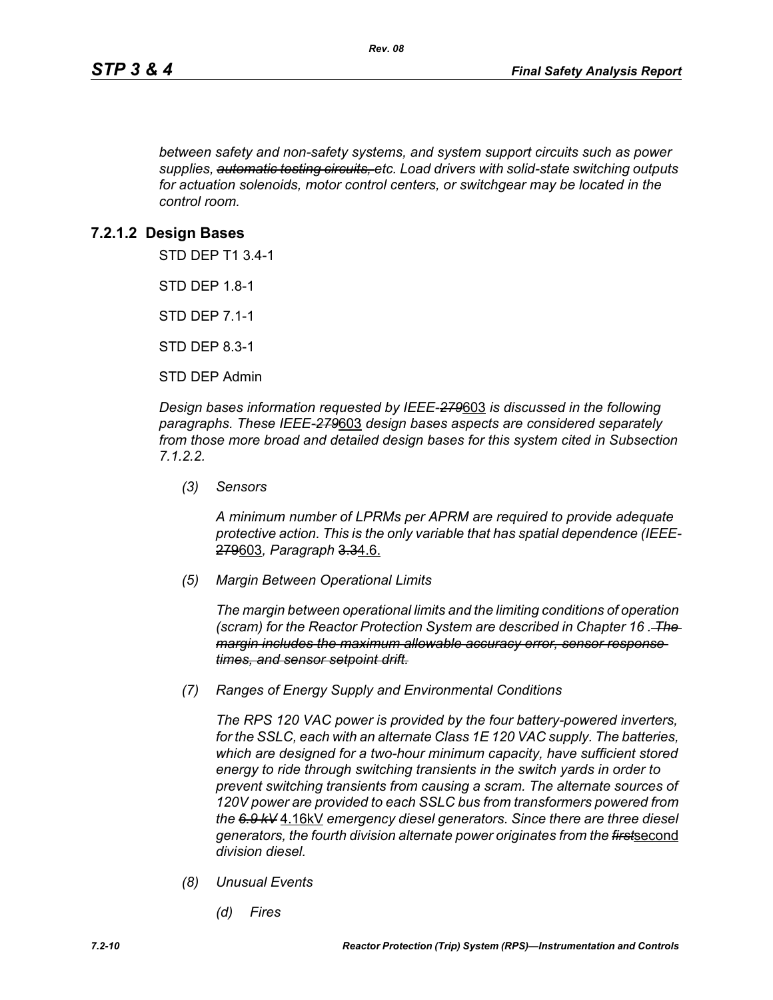*between safety and non-safety systems, and system support circuits such as power supplies, automatic testing circuits, etc. Load drivers with solid-state switching outputs for actuation solenoids, motor control centers, or switchgear may be located in the control room.*

### **7.2.1.2 Design Bases**

STD DEP T1 3.4-1

STD DEP 1.8-1

STD DEP 7.1-1

STD DEP 8.3-1

STD DEP Admin

*Design bases information requested by IEEE-279*603 *is discussed in the following paragraphs. These IEEE-279*603 *design bases aspects are considered separately from those more broad and detailed design bases for this system cited in Subsection 7.1.2.2.*

*(3) Sensors*

*A minimum number of LPRMs per APRM are required to provide adequate protective action. This is the only variable that has spatial dependence (IEEE-*279603*, Paragraph* 3.34.6.

*(5) Margin Between Operational Limits*

*The margin between operational limits and the limiting conditions of operation (scram) for the Reactor Protection System are described in Chapter 16 . The margin includes the maximum allowable accuracy error, sensor response times, and sensor setpoint drift.*

*(7) Ranges of Energy Supply and Environmental Conditions*

*The RPS 120 VAC power is provided by the four battery-powered inverters, for the SSLC, each with an alternate Class 1E 120 VAC supply. The batteries, which are designed for a two-hour minimum capacity, have sufficient stored energy to ride through switching transients in the switch yards in order to prevent switching transients from causing a scram. The alternate sources of 120V power are provided to each SSLC bus from transformers powered from the 6.9 kV* 4.16kV *emergency diesel generators. Since there are three diesel generators, the fourth division alternate power originates from the first*second *division diesel.*

- *(8) Unusual Events*
	- *(d) Fires*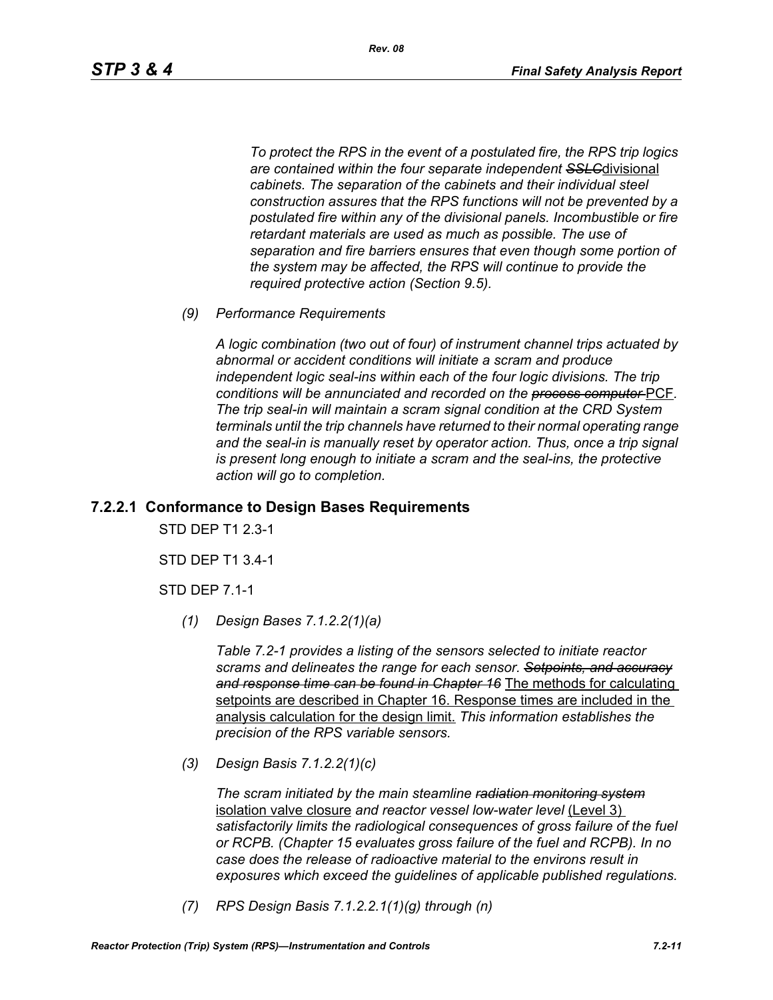*To protect the RPS in the event of a postulated fire, the RPS trip logics are contained within the four separate independent SSLC*divisional *cabinets. The separation of the cabinets and their individual steel construction assures that the RPS functions will not be prevented by a postulated fire within any of the divisional panels. Incombustible or fire retardant materials are used as much as possible. The use of separation and fire barriers ensures that even though some portion of the system may be affected, the RPS will continue to provide the required protective action (Section 9.5).*

*(9) Performance Requirements*

*A logic combination (two out of four) of instrument channel trips actuated by abnormal or accident conditions will initiate a scram and produce independent logic seal-ins within each of the four logic divisions. The trip conditions will be annunciated and recorded on the process computer* PCF*. The trip seal-in will maintain a scram signal condition at the CRD System terminals until the trip channels have returned to their normal operating range*  and the seal-in is manually reset by operator action. Thus, once a trip signal *is present long enough to initiate a scram and the seal-ins, the protective action will go to completion.*

### **7.2.2.1 Conformance to Design Bases Requirements**

STD DEP T1 2.3-1

STD DEP T1 3.4-1

STD DEP 7.1-1

*(1) Design Bases 7.1.2.2(1)(a)*

*Table 7.2-1 provides a listing of the sensors selected to initiate reactor scrams and delineates the range for each sensor. Setpoints, and accuracy and response time can be found in Chapter 16* The methods for calculating setpoints are described in Chapter 16. Response times are included in the analysis calculation for the design limit. *This information establishes the precision of the RPS variable sensors.*

*(3) Design Basis 7.1.2.2(1)(c)*

*The scram initiated by the main steamline radiation monitoring system* isolation valve closure *and reactor vessel low-water level* (Level 3) *satisfactorily limits the radiological consequences of gross failure of the fuel or RCPB. (Chapter 15 evaluates gross failure of the fuel and RCPB). In no case does the release of radioactive material to the environs result in exposures which exceed the guidelines of applicable published regulations.*

*(7) RPS Design Basis 7.1.2.2.1(1)(g) through (n)*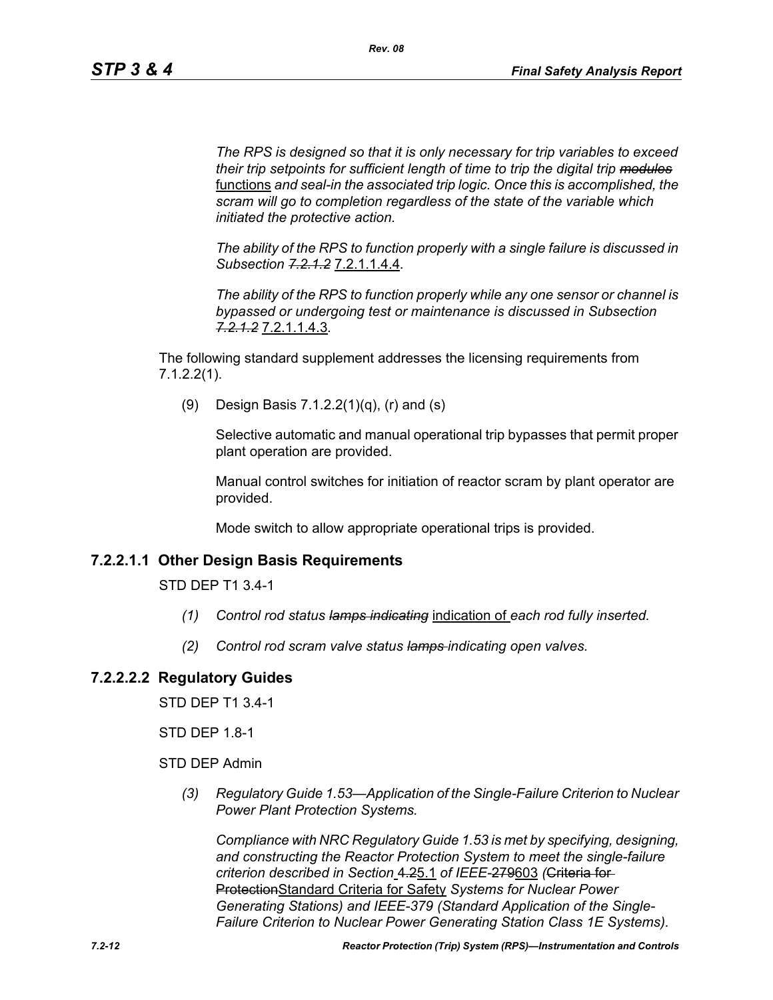*The RPS is designed so that it is only necessary for trip variables to exceed their trip setpoints for sufficient length of time to trip the digital trip modules* functions *and seal-in the associated trip logic. Once this is accomplished, the scram will go to completion regardless of the state of the variable which initiated the protective action.*

*The ability of the RPS to function properly with a single failure is discussed in Subsection 7.2.1.2* 7.2.1.1.4.4*.*

*The ability of the RPS to function properly while any one sensor or channel is bypassed or undergoing test or maintenance is discussed in Subsection 7.2.1.2* 7.2.1.1.4.3*.*

The following standard supplement addresses the licensing requirements from 7.1.2.2(1).

(9) Design Basis 7.1.2.2(1)(q), (r) and (s)

Selective automatic and manual operational trip bypasses that permit proper plant operation are provided.

Manual control switches for initiation of reactor scram by plant operator are provided.

Mode switch to allow appropriate operational trips is provided.

### **7.2.2.1.1 Other Design Basis Requirements**

STD DEP T1 3.4-1

- *(1) Control rod status lamps indicating* indication of *each rod fully inserted.*
- *(2) Control rod scram valve status lamps indicating open valves.*

### **7.2.2.2.2 Regulatory Guides**

STD DEP T1 3.4-1

STD DEP 1.8-1

STD DEP Admin

*(3) Regulatory Guide 1.53—Application of the Single-Failure Criterion to Nuclear Power Plant Protection Systems.*

*Compliance with NRC Regulatory Guide 1.53 is met by specifying, designing, and constructing the Reactor Protection System to meet the single-failure criterion described in Section* 4.25.1 *of IEEE-*279603 *(*Criteria for ProtectionStandard Criteria for Safety *Systems for Nuclear Power Generating Stations) and IEEE-379 (Standard Application of the Single-Failure Criterion to Nuclear Power Generating Station Class 1E Systems).*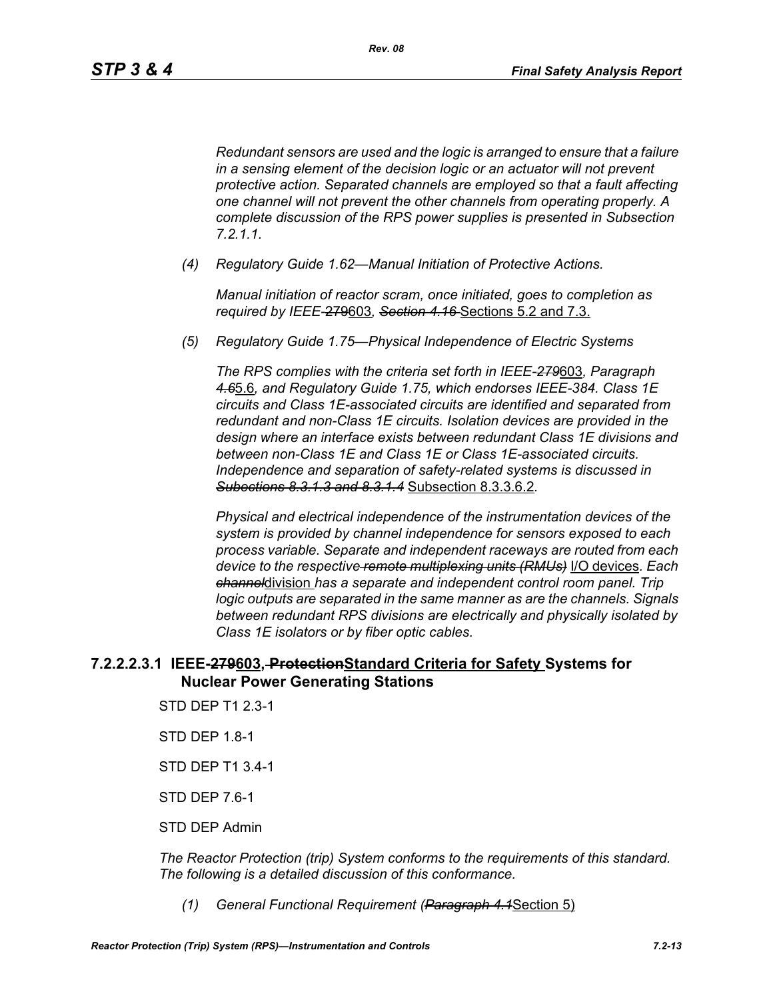*Redundant sensors are used and the logic is arranged to ensure that a failure in a sensing element of the decision logic or an actuator will not prevent protective action. Separated channels are employed so that a fault affecting one channel will not prevent the other channels from operating properly. A complete discussion of the RPS power supplies is presented in Subsection 7.2.1.1.*

*(4) Regulatory Guide 1.62—Manual Initiation of Protective Actions.*

*Manual initiation of reactor scram, once initiated, goes to completion as required by IEEE-*279603*, Section 4.16* Sections 5.2 and 7.3.

*(5) Regulatory Guide 1.75—Physical Independence of Electric Systems*

*The RPS complies with the criteria set forth in IEEE-279*603*, Paragraph 4.6*5.6*, and Regulatory Guide 1.75, which endorses IEEE-384. Class 1E circuits and Class 1E-associated circuits are identified and separated from redundant and non-Class 1E circuits. Isolation devices are provided in the design where an interface exists between redundant Class 1E divisions and between non-Class 1E and Class 1E or Class 1E-associated circuits. Independence and separation of safety-related systems is discussed in Subections 8.3.1.3 and 8.3.1.4* Subsection 8.3.3.6.2*.*

*Physical and electrical independence of the instrumentation devices of the system is provided by channel independence for sensors exposed to each process variable. Separate and independent raceways are routed from each device to the respective remote multiplexing units (RMUs)* I/O devices*. Each channel*division *has a separate and independent control room panel. Trip logic outputs are separated in the same manner as are the channels. Signals between redundant RPS divisions are electrically and physically isolated by Class 1E isolators or by fiber optic cables.*

### **7.2.2.2.3.1 IEEE-279603, ProtectionStandard Criteria for Safety Systems for Nuclear Power Generating Stations**

- STD DEP T1 2.3-1
- STD DEP 1.8-1
- STD DEP T1 3.4-1
- STD DEP 7.6-1
- STD DEP Admin

*The Reactor Protection (trip) System conforms to the requirements of this standard. The following is a detailed discussion of this conformance.*

*(1) General Functional Requirement (Paragraph 4.1*Section 5)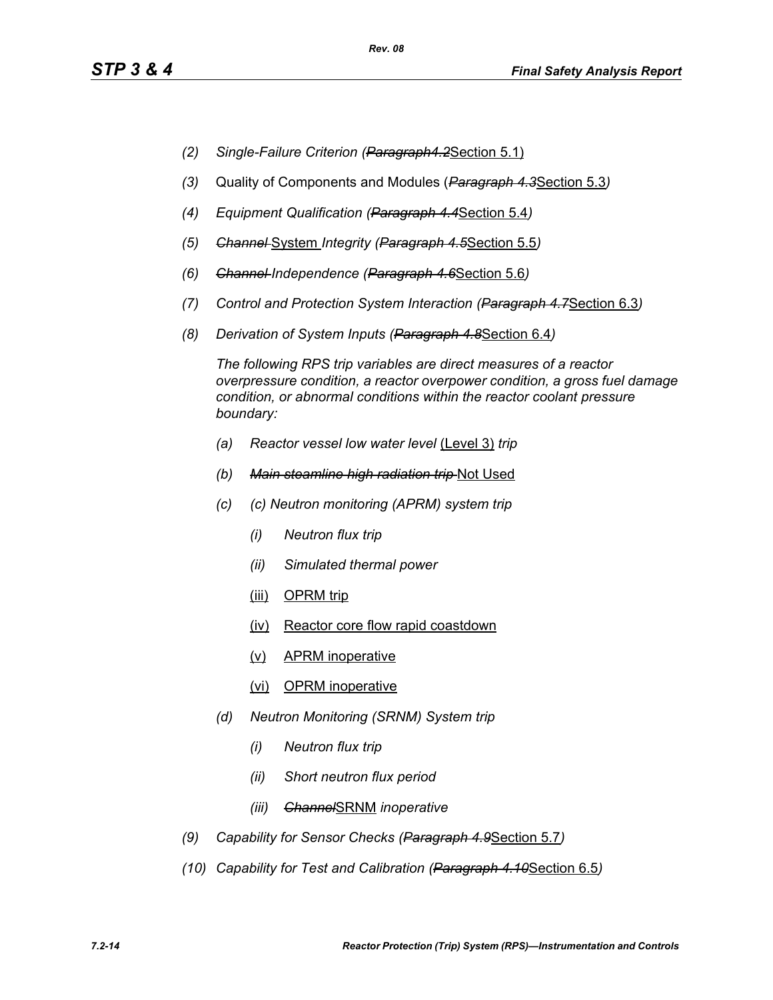- *(2) Single-Failure Criterion (Paragraph4.2*Section 5.1)
- *(3)* Quality of Components and Modules (*Paragraph 4.3*Section 5.3*)*
- *(4) Equipment Qualification (Paragraph 4.4*Section 5.4*)*
- *(5) Channel* System *Integrity (Paragraph 4.5*Section 5.5*)*
- *(6) Channel Independence (Paragraph 4.6*Section 5.6*)*
- *(7) Control and Protection System Interaction (Paragraph 4.7*Section 6.3*)*
- *(8) Derivation of System Inputs (Paragraph 4.8*Section 6.4*)*

*The following RPS trip variables are direct measures of a reactor overpressure condition, a reactor overpower condition, a gross fuel damage condition, or abnormal conditions within the reactor coolant pressure boundary:*

- *(a) Reactor vessel low water level* (Level 3) *trip*
- *(b) Main steamline high radiation trip* Not Used
- *(c) (c) Neutron monitoring (APRM) system trip*
	- *(i) Neutron flux trip*
	- *(ii) Simulated thermal power*
	- (iii) OPRM trip
	- (iv) Reactor core flow rapid coastdown
	- (v) APRM inoperative
	- (vi) OPRM inoperative
- *(d) Neutron Monitoring (SRNM) System trip*
	- *(i) Neutron flux trip*
	- *(ii) Short neutron flux period*
	- *(iii) Channel*SRNM *inoperative*
- *(9) Capability for Sensor Checks (Paragraph 4.9*Section 5.7*)*
- *(10) Capability for Test and Calibration (Paragraph 4.10*Section 6.5*)*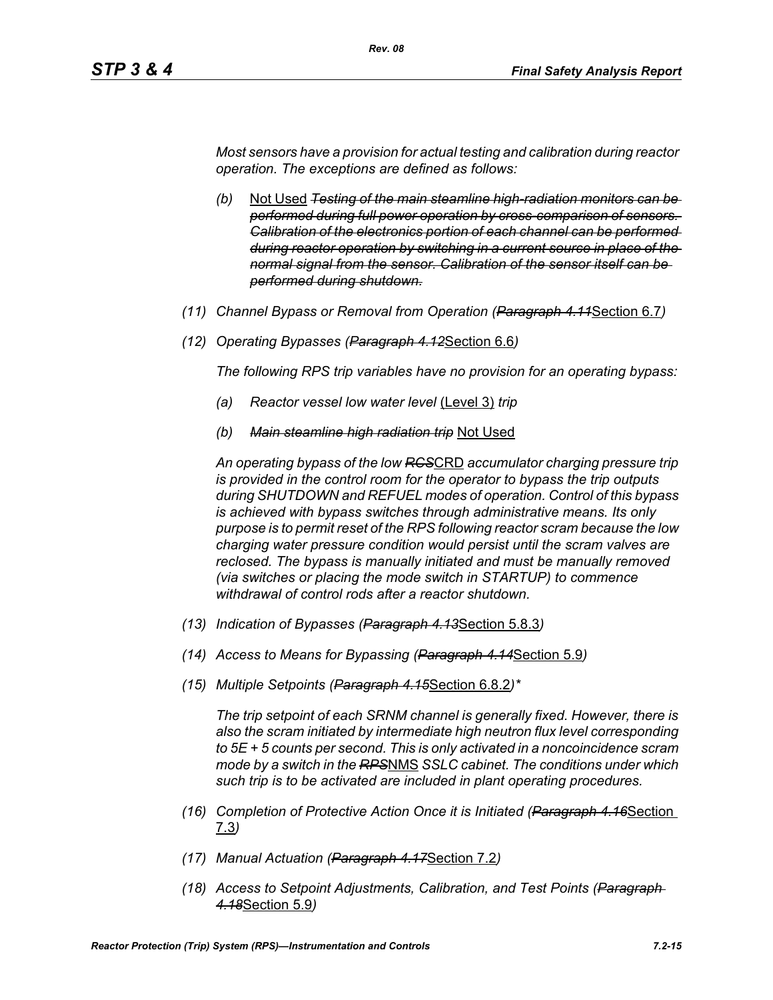*Most sensors have a provision for actual testing and calibration during reactor operation. The exceptions are defined as follows:*

*Rev. 08*

- *(b)* Not Used *Testing of the main steamline high-radiation monitors can be performed during full power operation by cross-comparison of sensors. Calibration of the electronics portion of each channel can be performed during reactor operation by switching in a current source in place of the normal signal from the sensor. Calibration of the sensor itself can be performed during shutdown.*
- *(11) Channel Bypass or Removal from Operation (Paragraph 4.11*Section 6.7*)*
- *(12) Operating Bypasses (Paragraph 4.12*Section 6.6*)*

*The following RPS trip variables have no provision for an operating bypass:*

- *(a) Reactor vessel low water level* (Level 3) *trip*
- *(b) Main steamline high radiation trip* Not Used

*An operating bypass of the low RCS*CRD *accumulator charging pressure trip is provided in the control room for the operator to bypass the trip outputs during SHUTDOWN and REFUEL modes of operation. Control of this bypass is achieved with bypass switches through administrative means. Its only purpose is to permit reset of the RPS following reactor scram because the low charging water pressure condition would persist until the scram valves are reclosed. The bypass is manually initiated and must be manually removed (via switches or placing the mode switch in STARTUP) to commence withdrawal of control rods after a reactor shutdown.*

- *(13) Indication of Bypasses (Paragraph 4.13*Section 5.8.3*)*
- *(14) Access to Means for Bypassing (Paragraph 4.14*Section 5.9*)*
- *(15) Multiple Setpoints (Paragraph 4.15*Section 6.8.2*)\**

*The trip setpoint of each SRNM channel is generally fixed. However, there is also the scram initiated by intermediate high neutron flux level corresponding to 5E + 5 counts per second. This is only activated in a noncoincidence scram mode by a switch in the RPS*NMS *SSLC cabinet. The conditions under which such trip is to be activated are included in plant operating procedures.*

- *(16) Completion of Protective Action Once it is Initiated (Paragraph 4.16*Section 7.3*)*
- *(17) Manual Actuation (Paragraph 4.17*Section 7.2*)*
- *(18) Access to Setpoint Adjustments, Calibration, and Test Points (Paragraph 4.18*Section 5.9*)*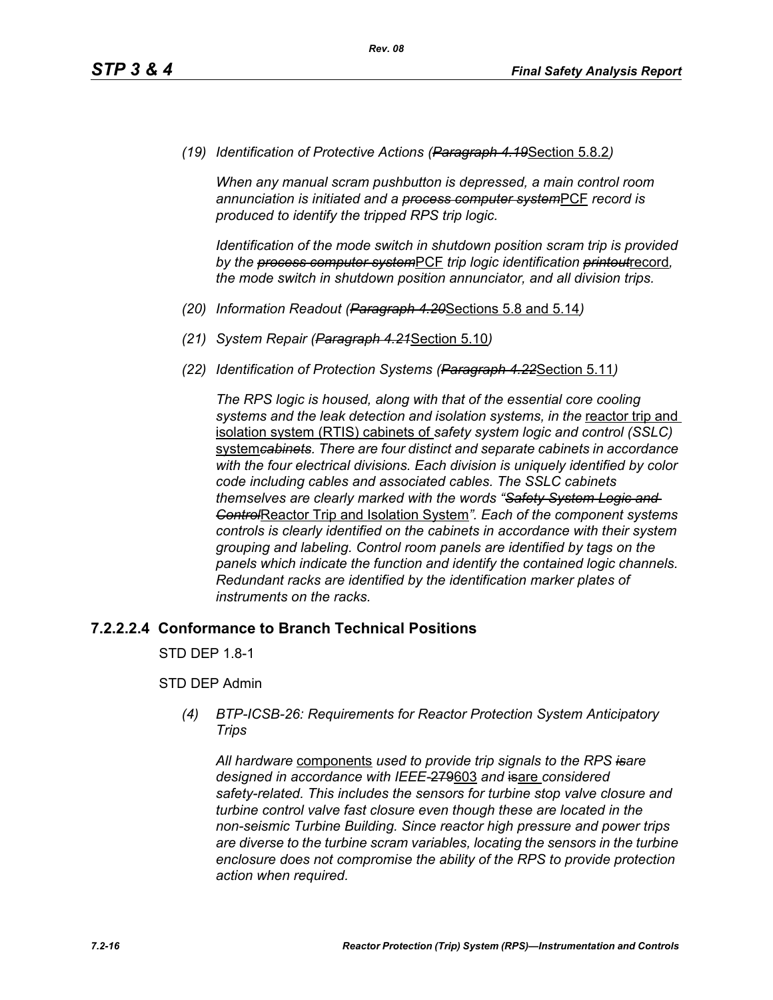*(19) Identification of Protective Actions (Paragraph 4.19*Section 5.8.2*)*

*When any manual scram pushbutton is depressed, a main control room annunciation is initiated and a process computer system*PCF *record is produced to identify the tripped RPS trip logic.*

*Identification of the mode switch in shutdown position scram trip is provided by the process computer system*PCF *trip logic identification printout*record*, the mode switch in shutdown position annunciator, and all division trips.*

- *(20) Information Readout (Paragraph 4.20*Sections 5.8 and 5.14*)*
- *(21) System Repair (Paragraph 4.21*Section 5.10*)*
- *(22) Identification of Protection Systems (Paragraph 4.22*Section 5.11*)*

*The RPS logic is housed, along with that of the essential core cooling*  systems and the leak detection and *isolation systems, in the reactor trip* and isolation system (RTIS) cabinets of *safety system logic and control (SSLC)*  system*cabinets. There are four distinct and separate cabinets in accordance with the four electrical divisions. Each division is uniquely identified by color code including cables and associated cables. The SSLC cabinets themselves are clearly marked with the words "Safety System Logic and Control*Reactor Trip and Isolation System*". Each of the component systems controls is clearly identified on the cabinets in accordance with their system grouping and labeling. Control room panels are identified by tags on the panels which indicate the function and identify the contained logic channels. Redundant racks are identified by the identification marker plates of instruments on the racks.*

#### **7.2.2.2.4 Conformance to Branch Technical Positions**

STD DEP 1.8-1

#### STD DEP Admin

*(4) BTP-ICSB-26: Requirements for Reactor Protection System Anticipatory Trips*

*All hardware* components *used to provide trip signals to the RPS isare designed in accordance with IEEE-*279603 *and* isare *considered safety-related. This includes the sensors for turbine stop valve closure and turbine control valve fast closure even though these are located in the non-seismic Turbine Building. Since reactor high pressure and power trips are diverse to the turbine scram variables, locating the sensors in the turbine enclosure does not compromise the ability of the RPS to provide protection action when required.*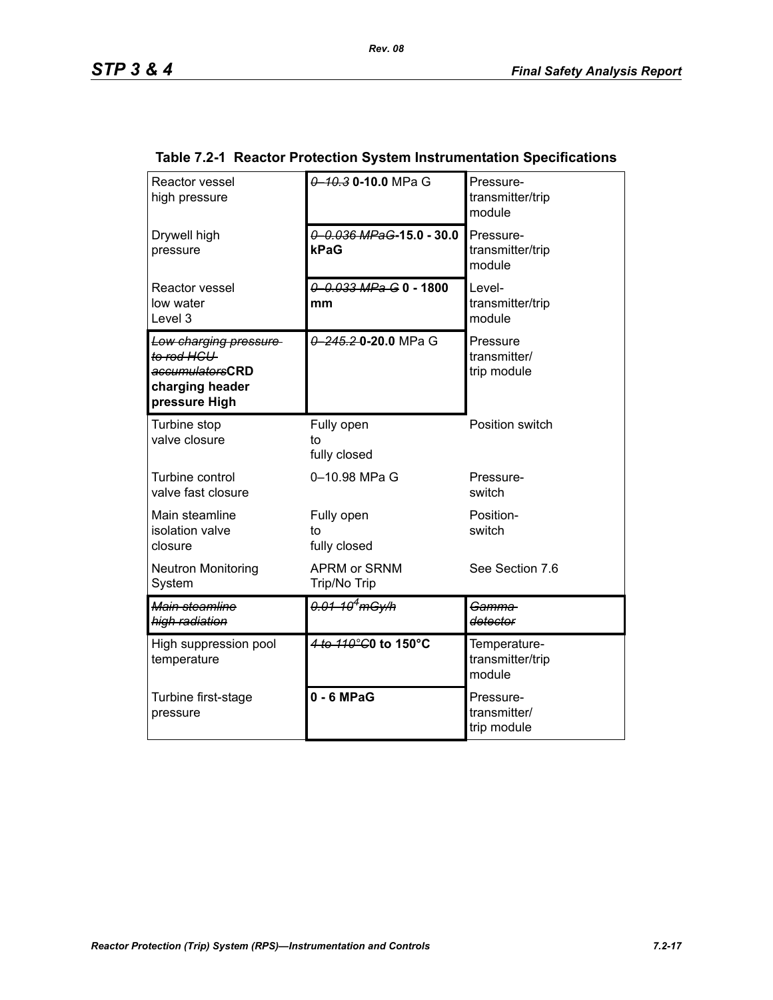| Reactor vessel<br>high pressure                                                            | 0 - 10 3 0 - 10 0 MPa G             | Pressure-<br>transmitter/trip<br>module    |
|--------------------------------------------------------------------------------------------|-------------------------------------|--------------------------------------------|
| Drywell high<br>pressure                                                                   | 0 0.036 MPaG-15.0 - 30.0<br>kPaG    | Pressure-<br>transmitter/trip<br>module    |
| Reactor vessel<br>low water<br>Level 3                                                     | 0 0.033 MPa G 0 - 1800<br>mm        | Level-<br>transmitter/trip<br>module       |
| Low charging pressure<br>to rod HCU<br>accumulatorsCRD<br>charging header<br>pressure High | 0 245.2 0 20.0 MPa G                | Pressure<br>transmitter/<br>trip module    |
| Turbine stop<br>valve closure                                                              | Fully open<br>to<br>fully closed    | Position switch                            |
| Turbine control<br>valve fast closure                                                      | 0-10.98 MPa G                       | Pressure-<br>switch                        |
| Main steamline<br>isolation valve<br>closure                                               | Fully open<br>to<br>fully closed    | Position-<br>switch                        |
| <b>Neutron Monitoring</b><br>System                                                        | <b>APRM or SRNM</b><br>Trip/No Trip | See Section 7.6                            |
| Main steamline<br>high radiation                                                           | $\frac{0.01 - 10^4}{\text{mGy/h}}$  | Gamma<br>detector                          |
| High suppression pool<br>temperature                                                       | 4 to 110°C0 to 150°C                | Temperature-<br>transmitter/trip<br>module |
| Turbine first-stage<br>pressure                                                            | 0 - 6 MPaG                          | Pressure-<br>transmitter/<br>trip module   |

### **Table 7.2-1 Reactor Protection System Instrumentation Specifications**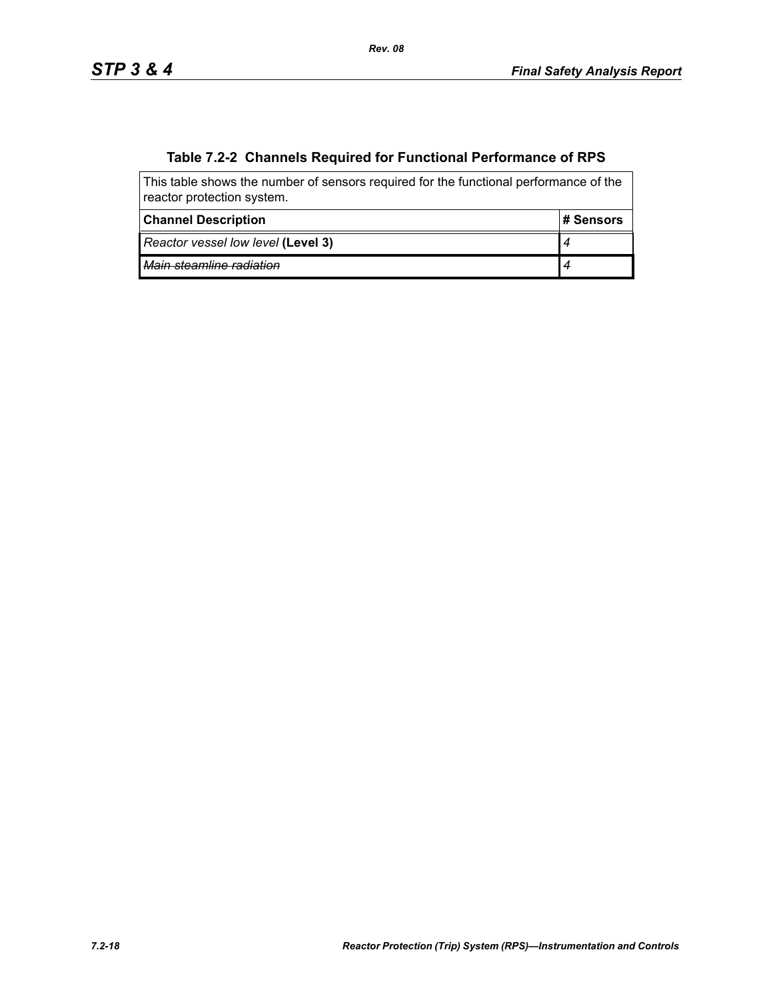# **Table 7.2-2 Channels Required for Functional Performance of RPS**

| This table shows the number of sensors required for the functional performance of the<br>reactor protection system. |            |  |  |
|---------------------------------------------------------------------------------------------------------------------|------------|--|--|
| <b>Channel Description</b>                                                                                          | ⊩# Sensors |  |  |
| Reactor vessel low level (Level 3)                                                                                  |            |  |  |
| Main steamline radiation                                                                                            |            |  |  |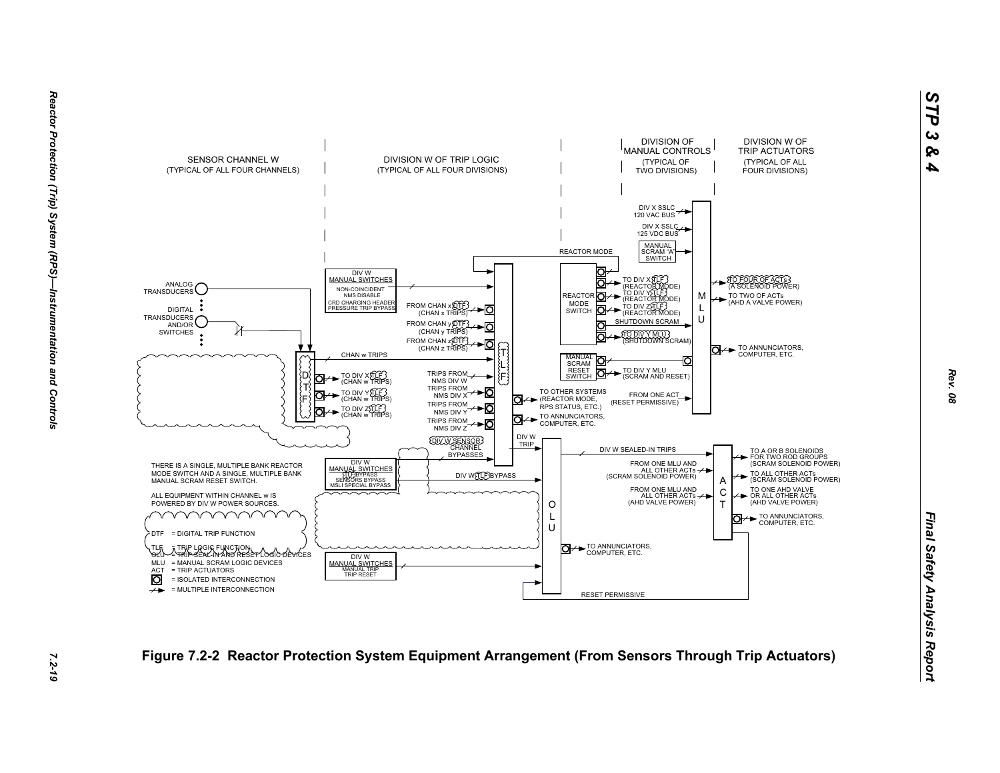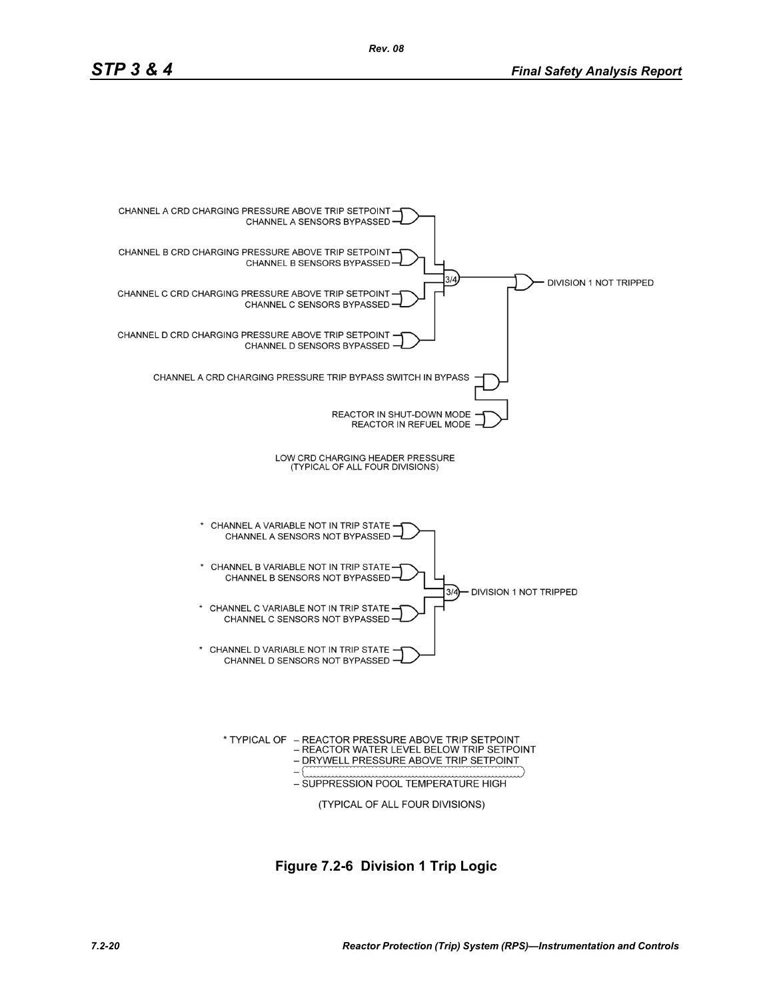

**Figure 7.2-6 Division 1 Trip Logic**